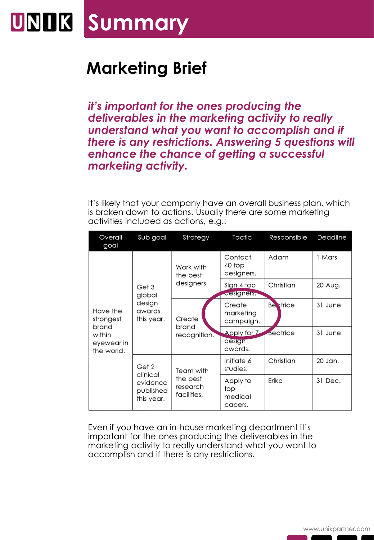## **UNIK Summary**

## **Marketing Brief**

*it's important for the ones producing the deliverables in the marketing activity to really understand what you want to accomplish and if there is any restrictions. Answering 5 questions will enhance the chance of getting a successful marketing activity.*

It's likely that your company have an overall business plan, which is broken down to actions. Usually there are some marketing activities included as actions, e.g.:

| Overall<br>goal                                                      | Sub goal                                                 | Strategy                                         | Tactic                                | Responsible      | Deadline |
|----------------------------------------------------------------------|----------------------------------------------------------|--------------------------------------------------|---------------------------------------|------------------|----------|
| Have the<br>strongest<br>brand<br>within<br>eyewear in<br>the world. | Get 3<br>global<br>design<br>awards<br>this year.        | Work with<br>the best<br>designers.              | Contact<br>40 top<br>designers.       | Adam             | 1 Mars   |
|                                                                      |                                                          |                                                  | Sign 4 top<br>aesigners.              | Christian        | 20 Aug.  |
|                                                                      |                                                          | Create<br>brand<br>recognition.                  | Create<br>marketing<br>campaign.      | <b>Be</b> strice | 31 June  |
|                                                                      |                                                          |                                                  | Apply for Z<br>design<br>awards.      | Beatrice         | 31 June  |
|                                                                      | Get 2<br>clinical<br>evidence<br>published<br>this year. | Team with<br>the best<br>research<br>facilities. | Initiate 6<br>studies.                | Christian        | 20 Jan.  |
|                                                                      |                                                          |                                                  | Apply to<br>top<br>medical<br>papers. | Erika            | 31 Dec.  |

Even if you have an in-house marketing department it's important for the ones producing the deliverables in the marketing activity to really understand what you want to accomplish and if there is any restrictions.